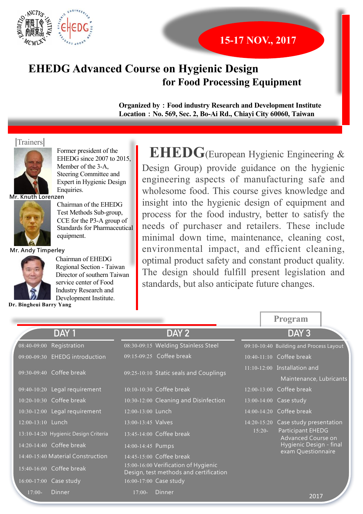

## **15-17 NOV., 2017**

# **EHEDG Advanced Course on Hygienic Design for Food Processing Equipment**

**Organized by**: Food industry Research and Development Institute Location : No. 569, Sec. 2, Bo-Ai Rd., Chiavi City 60060, Taiwan

#### *<u>Trainers</u>*



Former president of the EHEDG since 2007 to 2015. Member of the 3-A, Steering Committee and Expert in Hygienic Design Enquiries.

**Mr. Knuth Lorenzen** 



Chairman of the EHEDG Test Methods Sub-group, CCE for the P3-A group of Standards for Pharmaceutical equipment.

**Mr. Andy Timperley** 



Chairman of EHEDG Regional Section - Taiwan Director of southern Taiwan service center of Food Industry Research and Development Institute.

**Dr. Bingheui Barry Yang** 

**EHEDG**(European Hygienic Engineering &

Design Group) provide guidance on the hygienic engineering aspects of manufacturing safe and wholesome food. This course gives knowledge and insight into the hygienic design of equipment and process for the food industry, better to satisfy the needs of purchaser and retailers. These include minimal down time, maintenance, cleaning cost, environmental impact, and efficient cleaning, optimal product safety and constant product quality. The design should fulfill present legislation and standards, but also anticipate future changes.

|                   |                                      |                        |                                                                                |                 | <b>Program</b>                                                     |
|-------------------|--------------------------------------|------------------------|--------------------------------------------------------------------------------|-----------------|--------------------------------------------------------------------|
|                   | DAY 1                                |                        | DAY <sub>2</sub>                                                               |                 | DAY <sub>3</sub>                                                   |
| 08:40-09:00       | Registration                         |                        | 08:30-09:15 Welding Stainless Steel                                            |                 | 09:10-10:40 Building and Process Layout                            |
|                   | 09:00-09:30 EHEDG introduction       |                        | 09:15-09:25 Coffee break                                                       |                 | $\overline{10:40-11:10}$ Coffee break                              |
|                   | 09:30-09:40 Coffee break             |                        | 09:25-10:10 Static seals and Couplings                                         |                 | 11:10-12:00 Installation and<br>Maintenance, Lubricants            |
|                   | 09:40-10:20 Legal requirement        |                        | 10:10-10:30 Coffee break                                                       |                 | 12:00-13:00 Coffee break                                           |
|                   | 10:20-10:30 Coffee break             |                        | 10:30-12:00 Cleaning and Disinfection                                          |                 | 13:00-14:00 Case study                                             |
|                   | 10:30-12:00 Legal requirement        | 12:00-13:00 Lunch      |                                                                                | $14:00 - 14:20$ | Coffee break                                                       |
| 12:00-13:10 Lunch |                                      | $13:00 - 13:45$ Valves |                                                                                | $14:20 - 15:20$ | Case study presentation                                            |
|                   | 13:10-14:20 Hygienic Design Criteria |                        | $13:45-14:00$ Coffee break                                                     | $15:20-$        | Participant EHEDG<br>Advanced Course on<br>Hygienic Design - final |
|                   | 14:20-14:40 Coffee break             | 14:00-14:45 Pumps      |                                                                                |                 |                                                                    |
|                   | 14:40-15:40 Material Construction    |                        | 14:45-15:00 Coffee break                                                       |                 | exam Questionnaire                                                 |
|                   | 15:40-16:00 Coffee break             |                        | 15:00-16:00 Verification of Hygienic<br>Design, test methods and certification |                 |                                                                    |
|                   | 16:00-17:00 Case study               |                        | 16:00-17:00 Case study                                                         |                 |                                                                    |
| $17:00-$          | Dinner                               | $17:00-$               | Dinner                                                                         |                 | 2017                                                               |